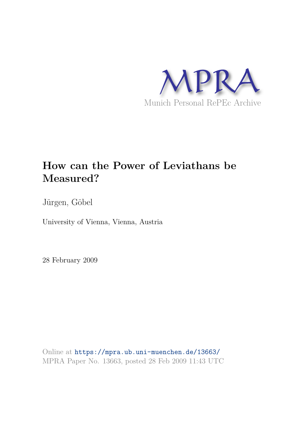

# **How can the Power of Leviathans be Measured?**

Jürgen, Göbel

University of Vienna, Vienna, Austria

28 February 2009

Online at https://mpra.ub.uni-muenchen.de/13663/ MPRA Paper No. 13663, posted 28 Feb 2009 11:43 UTC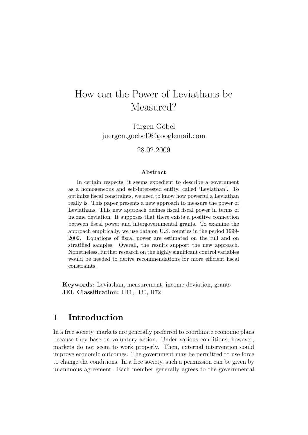# How can the Power of Leviathans be Measured?

Jürgen Göbel juergen.goebel9@googlemail.com

28.02.2009

#### Abstract

In certain respects, it seems expedient to describe a government as a homogeneous and self-interested entity, called 'Leviathan'. To optimize fiscal constraints, we need to know how powerful a Leviathan really is. This paper presents a new approach to measure the power of Leviathans. This new approach defines fiscal fiscal power in terms of income deviation. It supposes that there exists a positive connection between fiscal power and intergovernmental grants. To examine the approach empirically, we use data on U.S. counties in the period 1999- 2002. Equations of fiscal power are estimated on the full and on stratified samples. Overall, the results support the new approach. Nonetheless, further research on the highly significant control variables would be needed to derive recommendations for more efficient fiscal constraints.

Keywords: Leviathan, measurement, income deviation, grants JEL Classification: H11, H30, H72

## 1 Introduction

In a free society, markets are generally preferred to coordinate economic plans because they base on voluntary action. Under various conditions, however, markets do not seem to work properly. Then, external intervention could improve economic outcomes. The government may be permitted to use force to change the conditions. In a free society, such a permission can be given by unanimous agreement. Each member generally agrees to the governmental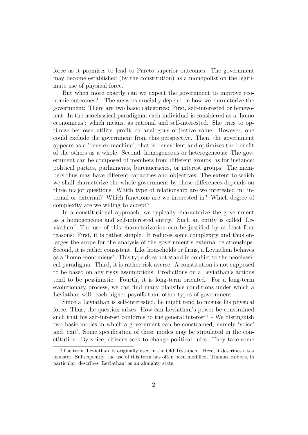force as it promises to lead to Pareto superior outcomes. The government may become established (by the constitution) as a monopolist on the legitimate use of physical force.

But when more exactly can we expect the government to improve economic outcomes? - The answers crucially depend on how we characterize the government: There are two basic categories: First, self-interested or benevolent: In the neoclassical paradigma, each individual is considered as a 'homo economicus'; which means, as rational and self-interested. She tries to optimize her own utility, profit, or analogous objective value. However, one could exclude the government from this perspective. Then, the government appears as a 'deus ex machina'; that is benevolent and optimizes the benefit of the others as a whole. Second, homogeneous or heterogeneous: The government can be composed of members from different groups, as for instance: political parties, parliaments, bureaucracies, or interest groups. The members thus may have different capacities and objectives. The extent to which we shall characterize the whole government by these differences depends on three major questions: Which type of relationship are we interested in: internal or external? Which functions are we interested in? Which degree of complexity are we willing to accept?

In a constitutional approach, we typically characterize the government as a homogeneous and self-interested entity. Such an entity is called 'Leviathan'<sup>1</sup> The use of this characterization can be justified by at least four reasons: First, it is rather simple. It reduces some complexity and thus enlarges the scope for the analysis of the government's external relationships. Second, it is rather consistent. Like households or firms, a Leviathan behaves as a 'homo economicus'. This type does not stand in conflict to the neoclassical paradigma. Third, it is rather risk-averse. A constitution is not supposed to be based on any risky assumptions. Predictions on a Leviathan's actions tend to be pessimistic. Fourth, it is long-term oriented. For a long-term evolutionary process, we can find many plausible conditions under which a Leviathan will reach higher payoffs than other types of government.

Since a Leviathan is self-interested, he might tend to misuse his physical force. Thus, the question arises: How can Leviathan's power be constrained such that his self-interest conforms to the general interest? - We distinguish two basic modes in which a government can be constrained, namely 'voice' and 'exit'. Some specification of these modes may be stipulated in the constitution. By voice, citizens seek to change political rules. They take some

<sup>&</sup>lt;sup>1</sup>The term 'Leviathan' is originally used in the Old Testament. Here, it describes a sea monster. Subsequently, the use of this term has often been modified. Thomas Hobbes, in particular, describes 'Leviathan' as an almighty state.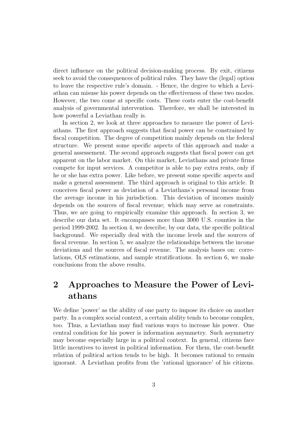direct influence on the political decision-making process. By exit, citizens seek to avoid the consequences of political rules. They have the (legal) option to leave the respective rule's domain. - Hence, the degree to which a Leviathan can misuse his power depends on the effectiveness of these two modes. However, the two come at specific costs. These costs enter the cost-benefit analysis of governmental intervention. Therefore, we shall be interested in how powerful a Leviathan really is.

In section 2, we look at three approaches to measure the power of Leviathans. The first approach suggests that fiscal power can be constrained by fiscal competition. The degree of competition mainly depends on the federal structure. We present some specific aspects of this approach and make a general assessement. The second approach suggests that fiscal power can get apparent on the labor market. On this market, Leviathans and private firms compete for input services. A competitor is able to pay extra rents, only if he or she has extra power. Like before, we present some specific aspects and make a general assessment. The third approach is original to this article. It conceives fiscal power as deviation of a Leviathans's personal income from the average income in his jurisdiction. This deviation of incomes mainly depends on the sources of fiscal revenue; which may serve as constraints. Thus, we are going to empirically examine this approach. In section 3, we describe our data set. It encompasses more than 3000 U.S. counties in the period 1999-2002. In section 4, we describe, by our data, the specific political background. We especially deal with the income levels and the sources of fiscal revenue. In section 5, we analyze the relationships between the income deviations and the sources of fiscal revenue. The analysis bases on: correlations, OLS estimations, and sample stratifications. In section 6, we make conclusions from the above results.

## 2 Approaches to Measure the Power of Leviathans

We define 'power' as the ability of one party to impose its choice on another party. In a complex social context, a certain ability tends to become complex, too. Thus, a Leviathan may find various ways to increase his power. One central condition for his power is information asymmetry. Such asymmetry may become especially large in a political context. In general, citizens face little incentives to invest in political information. For them, the cost-benefit relation of political action tends to be high. It becomes rational to remain ignorant. A Leviathan profits from the 'rational ignorance' of his citizens.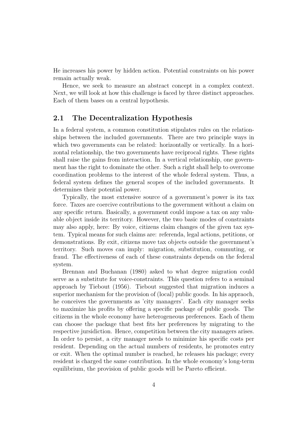He increases his power by hidden action. Potential constraints on his power remain actually weak.

Hence, we seek to measure an abstract concept in a complex context. Next, we will look at how this challenge is faced by three distinct approaches. Each of them bases on a central hypothesis.

#### 2.1 The Decentralization Hypothesis

In a federal system, a common constitution stipulates rules on the relationships between the included governments. There are two principle ways in which two governments can be related: horizontally or vertically. In a horizontal relationship, the two governments have reciprocal rights. These rights shall raise the gains from interaction. In a vertical relationship, one government has the right to dominate the other. Such a right shall help to overcome coordination problems to the interest of the whole federal system. Thus, a federal system defines the general scopes of the included governments. It determines their potential power.

Typically, the most extensive source of a government's power is its tax force. Taxes are coercive contributions to the government without a claim on any specific return. Basically, a government could impose a tax on any valuable object inside its territory. However, the two basic modes of constraints may also apply, here: By voice, citizens claim changes of the given tax system. Typical means for such claims are: referenda, legal actions, petitions, or demonstrations. By exit, citizens move tax objects outside the government's territory. Such moves can imply: migration, substitution, commuting, or fraud. The effectiveness of each of these constraints depends on the federal system.

Brennan and Buchanan (1980) asked to what degree migration could serve as a substitute for voice-constraints. This question refers to a seminal approach by Tiebout (1956). Tiebout suggested that migration induces a superior mechanism for the provision of (local) public goods. In his appraoch, he conceives the governments as 'city managers'. Each city manager seeks to maximize his profits by offering a specific package of public goods. The citizens in the whole economy have heterogeneous preferences. Each of them can choose the package that best fits her preferences by migrating to the respective jursidiction. Hence, competition between the city managers arises. In order to persist, a city manager needs to minimize his specific costs per resident. Depending on the actual numbers of residents, he promotes entry or exit. When the optimal number is reached, he releases his package; every resident is charged the same contribution. In the whole economy's long-term equilibrium, the provision of public goods will be Pareto efficient.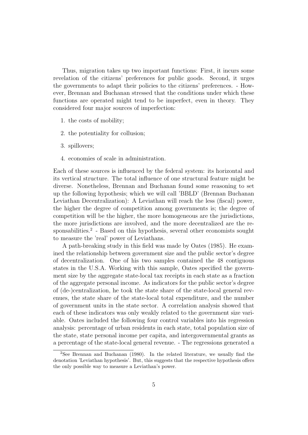Thus, migration takes up two important functions: First, it incurs some revelation of the citizens' preferences for public goods. Second, it urges the governments to adapt their policies to the citizens' preferences. - However, Brennan and Buchanan stressed that the conditions under which these functions are operated might tend to be imperfect, even in theory. They considered four major sources of imperfection:

- 1. the costs of mobility;
- 2. the potentiality for collusion;
- 3. spillovers;
- 4. economies of scale in administration.

Each of these sources is influenced by the federal system: its horizontal and its vertical structure. The total influence of one structural feature might be diverse. Nonetheless, Brennan and Buchanan found some reasoning to set up the following hypothesis; which we will call 'BBLD' (Brennan Buchanan Leviathan Decentralization): A Leviathan will reach the less (fiscal) power, the higher the degree of competition among governments is; the degree of competition will be the higher, the more homogeneous are the jurisdictions, the more jurisdictions are involved, and the more decentralized are the responsabilities.<sup>2</sup> - Based on this hypothesis, several other economists sought to measure the 'real' power of Leviathans.

A path-breaking study in this field was made by Oates (1985). He examined the relationship between government size and the public sector's degree of decentralization. One of his two samples contained the 48 contiguous states in the U.S.A. Working with this sample, Oates specified the government size by the aggregate state-local tax receipts in each state as a fraction of the aggregate personal income. As indicators for the public sector's degree of (de-)centralization, he took the state share of the state-local general revenues, the state share of the state-local total expenditure, and the number of government units in the state sector. A correlation analysis showed that each of these indicators was only weakly related to the government size variable. Oates included the following four control variables into his regression analysis: percentage of urban residents in each state, total population size of the state, state personal income per capita, and intergovernmental grants as a percentage of the state-local general revenue. - The regressions generated a

<sup>2</sup>See Brennan and Buchanan (1980). In the related literature, we usually find the denotation 'Leviathan hypothesis'. But, this suggests that the respective hypothesis offers the only possible way to measure a Leviathan's power.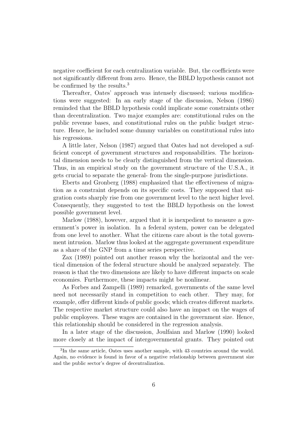negative coefficient for each centralization variable. But, the coefficients were not significantly different from zero. Hence, the BBLD hypothesis cannot not be confirmed by the results.<sup>3</sup>

Thereafter, Oates' approach was intensely discussed; various modifications were suggested: In an early stage of the discussion, Nelson (1986) reminded that the BBLD hypothesis could implicate some constraints other than decentralization. Two major examples are: constitutional rules on the public revenue bases, and constitutional rules on the public budget structure. Hence, he included some dummy variables on constitutional rules into his regressions.

A little later, Nelson (1987) argued that Oates had not developed a sufficient concept of government structures and responsabilities. The horizontal dimension needs to be clearly distinguished from the vertical dimension. Thus, in an empirical study on the government structure of the U.S.A., it gets crucial to separate the general- from the single-purpose jurisdictions.

Eberts and Gronberg (1988) emphasized that the effectiveness of migration as a constraint depends on its specific costs. They supposed that migration costs sharply rise from one government level to the next higher level. Consequently, they suggested to test the BBLD hypothesis on the lowest possible government level.

Marlow (1988), however, argued that it is inexpedient to measure a government's power in isolation. In a federal system, power can be delegated from one level to another. What the citizens care about is the total government intrusion. Marlow thus looked at the aggregate government expenditure as a share of the GNP from a time series perspective.

Zax (1989) pointed out another reason why the horizontal and the vertical dimension of the federal structure should be analyzed separately. The reason is that the two dimensions are likely to have different impacts on scale economies. Furthermore, these impacts might be nonlinear.

As Forbes and Zampelli (1989) remarked, governments of the same level need not necessarily stand in competition to each other. They may, for example, offer different kinds of public goods; which creates different markets. The respective market structure could also have an impact on the wages of public employees. These wages are contained in the government size. Hence, this relationship should be considered in the regression analysis.

In a later stage of the discussion, Joulfaian and Marlow (1990) looked more closely at the impact of intergovernmental grants. They pointed out

<sup>3</sup> In the same article, Oates uses another sample, with 43 countries around the world. Again, no evidence is found in favor of a negative relationship between government size and the public sector's degree of decentralization.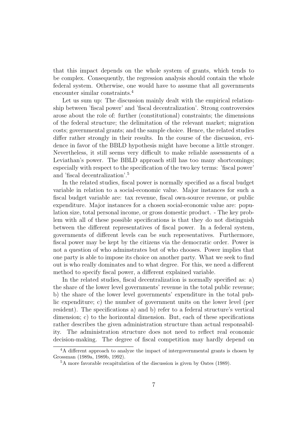that this impact depends on the whole system of grants, which tends to be complex. Consequently, the regression analysis should contain the whole federal system. Otherwise, one would have to assume that all governments encounter similar constraints.<sup>4</sup>

Let us sum up: The discussion mainly dealt with the empirical relationship between 'fiscal power' and 'fiscal decentralization'. Strong controversies arose about the role of: further (constitutional) constraints; the dimensions of the federal structure; the delimitation of the relevant market; migration costs; governmental grants; and the sample choice. Hence, the related studies differ rather strongly in their results. In the course of the discussion, evidence in favor of the BBLD hypothesis might have become a little stronger. Nevertheless, it still seems very difficult to make reliable assessments of a Leviathan's power. The BBLD approach still has too many shortcomings; especially with respect to the specification of the two key terms: 'fiscal power' and 'fiscal decentralization'.<sup>5</sup>

In the related studies, fiscal power is normally specified as a fiscal budget variable in relation to a social-economic value. Major instances for such a fiscal budget variable are: tax revenue, fiscal own-source revenue, or public expenditure. Major instances for a chosen social-economic value are: population size, total personal income, or gross domestic product. - The key problem with all of these possible specifications is that they do not distinguish between the different representatives of fiscal power. In a federal system, governments of different levels can be such representatives. Furthermore, fiscal power may be kept by the citizens via the democratic order. Power is not a question of who adminstrates but of who chooses. Power implies that one party is able to impose its choice on another party. What we seek to find out is who really dominates and to what degree. For this, we need a different method to specify fiscal power, a different explained variable.

In the related studies, fiscal decentralization is normally specified as: a) the share of the lower level governments' revenue in the total public revenue; b) the share of the lower level governments' expenditure in the total public expenditure; c) the number of government units on the lower level (per resident). The specifications a) and b) refer to a federal structure's vertical dimension; c) to the horizontal dimension. But, each of these specifications rather describes the given administration structure than actual responsability. The administration structure does not need to reflect real economic decision-making. The degree of fiscal competition may hardly depend on

<sup>&</sup>lt;sup>4</sup>A different approach to analyze the impact of intergovernmental grants is chosen by Grossman (1989a, 1989b, 1992).

<sup>5</sup>A more favorable recapitulation of the discussion is given by Oates (1989).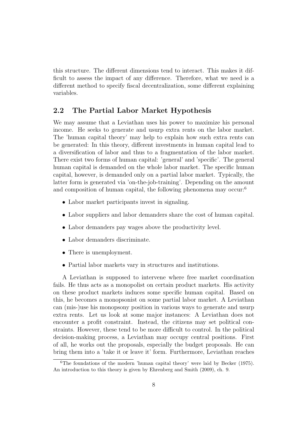this structure. The different dimensions tend to interact. This makes it difficult to assess the impact of any difference. Therefore, what we need is a different method to specify fiscal decentralization, some different explaining variables.

#### 2.2 The Partial Labor Market Hypothesis

We may assume that a Leviathan uses his power to maximize his personal income. He seeks to generate and usurp extra rents on the labor market. The 'human capital theory' may help to explain how such extra rents can be generated: In this theory, different investments in human capital lead to a diversification of labor and thus to a fragmentation of the labor market. There exist two forms of human capital: 'general' and 'specific'. The general human capital is demanded on the whole labor market. The specific human capital, however, is demanded only on a partial labor market. Typically, the latter form is generated via 'on-the-job-training'. Depending on the amount and composition of human capital, the following phenomena may occur:<sup>6</sup>

- Labor market participants invest in signaling.
- Labor suppliers and labor demanders share the cost of human capital.
- Labor demanders pay wages above the productivity level.
- Labor demanders discriminate.
- There is unemployment.
- Partial labor markets vary in structures and institutions.

A Leviathan is supposed to intervene where free market coordination fails. He thus acts as a monopolist on certain product markets. His activity on these product markets induces some specific human capital. Based on this, he becomes a monopsonist on some partial labor market. A Leviathan can (mis-)use his monopsony position in various ways to generate and usurp extra rents. Let us look at some major instances: A Leviathan does not encounter a profit constraint. Instead, the citizens may set political constraints. However, these tend to be more difficult to control. In the political decision-making process, a Leviathan may occupy central positions. First of all, he works out the proposals, especially the budget proposals. He can bring them into a 'take it or leave it' form. Furthermore, Leviathan reaches

<sup>6</sup>The foundations of the modern 'human capital theory' were laid by Becker (1975). An introduction to this theory is given by Ehrenberg and Smith (2009), ch. 9.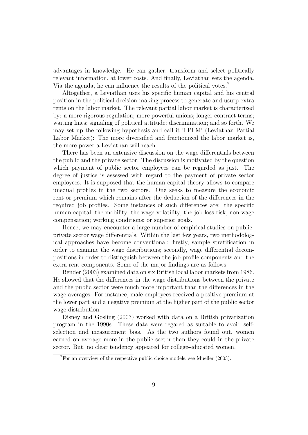advantages in knowledge. He can gather, transform and select politically relevant information, at lower costs. And finally, Leviathan sets the agenda. Via the agenda, he can influence the results of the political votes.<sup>7</sup>

Altogether, a Leviathan uses his specific human capital and his central position in the political decision-making process to generate and usurp extra rents on the labor market. The relevant partial labor market is characterized by: a more rigorous regulation; more powerful unions; longer contract terms; waiting lines; signaling of political attitude; discrimination; and so forth. We may set up the following hypothesis and call it 'LPLM' (Leviathan Partial Labor Market): The more diversified and fractionized the labor market is, the more power a Leviathan will reach.

There has been an extensive discussion on the wage differentials between the public and the private sector. The discussion is motivated by the question which payment of public sector employees can be regarded as just. The degree of justice is assessed with regard to the payment of private sector employees. It is supposed that the human capital theory allows to compare unequal profiles in the two sectors. One seeks to measure the economic rent or premium which remains after the deduction of the differences in the required job profiles. Some instances of such differences are: the specific human capital; the mobility; the wage volatility; the job loss risk; non-wage compensation; working conditions; or superior goals.

Hence, we may encounter a large number of empirical studies on publicprivate sector wage differentials. Within the last few years, two methodological approaches have become conventional: firstly, sample stratification in order to examine the wage distributions; secondly, wage differential decompositions in order to distinguish between the job profile components and the extra rent components. Some of the major findings are as follows:

Bender (2003) examined data on six British local labor markets from 1986. He showed that the differences in the wage distributions between the private and the public sector were much more important than the differences in the wage averages. For instance, male employees received a positive premium at the lower part and a negative premium at the higher part of the public sector wage distribution.

Disney and Gosling (2003) worked with data on a British privatization program in the 1990s. These data were regared as suitable to avoid selfselection and measurement bias. As the two authors found out, women earned on average more in the public sector than they could in the private sector. But, no clear tendency appeared for college-educated women.

<sup>7</sup>For an overview of the respective public choice models, see Mueller (2003).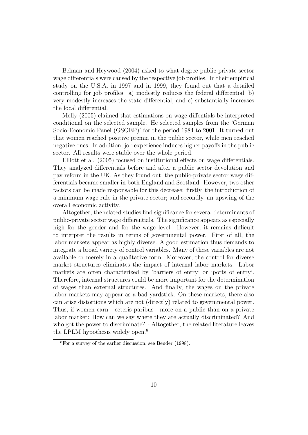Belman and Heywood (2004) asked to what degree public-private sector wage differentials were caused by the respective job profiles. In their empirical study on the U.S.A. in 1997 and in 1999, they found out that a detailed controlling for job profiles: a) modestly reduces the federal differential, b) very modestly increases the state differential, and c) substantially increases the local differential.

Melly (2005) claimed that estimations on wage diffentials be interpreted conditional on the selected sample. He selected samples from the 'German Socio-Economic Panel (GSOEP)' for the period 1984 to 2001. It turned out that women reached positive premia in the public sector, while men reached negative ones. In addition, job experience induces higher payoffs in the public sector. All results were stable over the whole period.

Elliott et al. (2005) focused on institutional effects on wage differentials. They analyzed differentials before and after a public sector devolution and pay reform in the UK. As they found out, the public-private sector wage differentials became smaller in both England and Scotland. However, two other factors can be made responsable for this decrease: firstly, the introduction of a minimum wage rule in the private sector; and secondly, an upswing of the overall economic activity.

Altogether, the related studies find significance for several determinants of public-private sector wage differentials. The significance appears as especially high for the gender and for the wage level. However, it remains difficult to interpret the results in terms of governmental power. First of all, the labor markets appear as highly diverse. A good estimation thus demands to integrate a broad variety of control variables. Many of these variables are not available or merely in a qualitative form. Moreover, the control for diverse market structures eliminates the impact of internal labor markets. Labor markets are often characterized by 'barriers of entry' or 'ports of entry'. Therefore, internal structures could be more important for the determination of wages than external structures. And finally, the wages on the private labor markets may appear as a bad yardstick. On these markets, there also can arise distortions which are not (directly) related to governmental power. Thus, if women earn - ceteris paribus - more on a public than on a private labor market: How can we say where they are actually discriminated? And who got the power to discriminate? - Altogether, the related literature leaves the LPLM hypothesis widely open.<sup>8</sup>

<sup>8</sup>For a survey of the earlier discussion, see Bender (1998).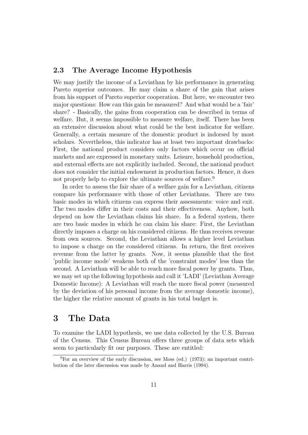#### 2.3 The Average Income Hypothesis

We may justify the income of a Leviathan by his performance in generating Pareto superior outcomes. He may claim a share of the gain that arises from his support of Pareto superior cooperation. But here, we encounter two major questions: How can this gain be measured? And what would be a 'fair' share? - Basically, the gains from cooperation can be described in terms of welfare. But, it seems impossible to measure welfare, itself. There has been an extensive discussion about what could be the best indicator for welfare. Generally, a certain measure of the domestic product is indorsed by most scholars. Nevertheless, this indicator has at least two important drawbacks: First, the national product considers only factors which occur on official markets and are expressed in monetary units. Leisure, household production, and external effects are not explicitly included. Second, the national product does not consider the initial endowment in production factors. Hence, it does not properly help to explore the ultimate sources of welfare.<sup>9</sup>

In order to assess the fair share of a welfare gain for a Leviathan, citizens compare his performance with those of other Leviathans. There are two basic modes in which citizens can express their assessments: voice and exit. The two modes differ in their costs and their effectiveness. Anyhow, both depend on how the Leviathan claims his share. In a federal system, there are two basic modes in which he can claim his share: First, the Leviathan directly imposes a charge on his considered citizens. He thus receives revenue from own sources. Second, the Leviathan allows a higher level Leviathan to impose a charge on the considered citizens. In return, the first receives revenue from the latter by grants. Now, it seems plausible that the first 'public income mode' weakens both of the 'constraint modes' less than the second. A Leviathan will be able to reach more fiscal power by grants. Thus, we may set up the following hypothesis and call it 'LADI' (Leviathan Average Domestic Income): A Leviathan will reach the more fiscal power (measured by the deviation of his personal income from the average domestic income), the higher the relative amount of grants in his total budget is.

#### 3 The Data

To examine the LADI hypothesis, we use data collected by the U.S. Bureau of the Census. This Census Bureau offers three groups of data sets which seem to particularly fit our purposes. These are entitled:

 $^{9}$ For an overview of the early discussion, see Moss (ed.) (1973); an important contribution of the later discussion was made by Anand and Harris (1994).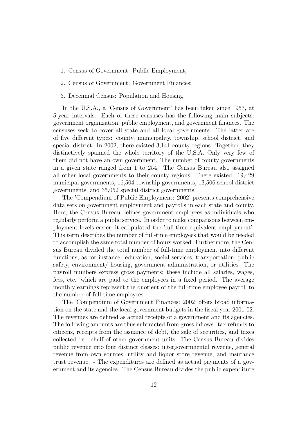- 1. Census of Government: Public Employment;
- 2. Census of Government: Government Finances;
- 3. Decennial Census: Population and Housing.

In the U.S.A., a 'Census of Government' has been taken since 1957, at 5-year intervals. Each of these censuses has the following main subjects: government organization, public employment, and government finances. The censuses seek to cover all state and all local governments. The latter are of five different types: county, municipality, township, school district, and special district. In 2002, there existed 3,141 county regions. Together, they distinctively spanned the whole territory of the U.S.A. Only very few of them did not have an own government. The number of county governments in a given state ranged from 1 to 254. The Census Bureau also assigned all other local governments to their county regions. There existed: 19,429 municipal governments, 16,504 township governments, 13,506 school district governments, and 35,052 special district governments.

The 'Compendium of Public Employment: 2002' presents comprehensive data sets on government employment and payrolls in each state and county. Here, the Census Bureau defines government employees as individuals who regularly perform a public service. In order to make comparisons between employment levels easier, it caLpulated the 'full-time equivalent employment'. This term describes the number of full-time employees that would be needed to accomplish the same total number of hours worked. Furthermore, the Census Bureau divided the total number of full-time employment into different functions, as for instance: education, social services, transportation, public safety, environment/ housing, government administration, or utilities. The payroll numbers express gross payments; these include all salaries, wages, fees, etc. which are paid to the employees in a fixed period. The average monthly earnings represent the quotient of the full-time employee payroll to the number of full-time employees.

The 'Compendium of Government Finances: 2002' offers broad information on the state and the local government budgets in the fiscal year 2001-02. The revenues are defined as actual receipts of a government and its agencies. The following amounts are thus subtracted from gross inflows: tax refunds to citizens, receipts from the issuance of debt, the sale of securities, and taxes collected on behalf of other government units. The Census Bureau divides public revenue into four distinct classes: intergovernmental revenue, general revenue from own sources, utility and liquor store revenue, and insurance trust revenue. - The expenditures are defined as actual payments of a government and its agencies. The Census Bureau divides the public expenditure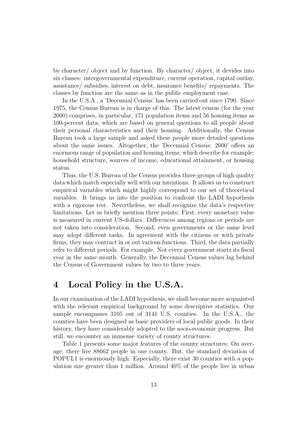by character/ object and by function. By character/ object, it devides into six classes: intergovernmental expenditure, current operation, capital outlay, assistance/ subsidies, interest on debt, insurance benefits/ repayments. The classes by function are the same as in the public employment case.

In the U.S.A., a 'Decennial Census' has been carried out since 1790. Since 1975, the Census Bureau is in charge of this. The latest census (for the year 2000) comprises, in particular, 171 population items and 56 housing items as 100-percent data; which are based on general questions to all people about their personal characteristics and their housing. Additionally, the Census Bureau took a large sample and asked these people more detailed questions about the same issues. Altogether, the 'Decennial Census: 2000' offers an enormous range of population and housing items; which describe for example: household structure, sources of income, educational attainment, or housing status.

Thus, the U.S. Bureau of the Census provides three groups of high quality data which match especially well with our intentions. It allows us to construct empirical variables which might highly correspond to our set of theoretical variables. It brings us into the position to confront the LADI hypothesis with a rigorous test. Nevertheless, we shall recognize the data's respective limitations. Let us briefly mention three points: First, every monetary value is measured in current US-dollars. Differences among regions or periods are not taken into consideration. Second, even governments or the same level may adopt different tasks. In agreement with the citizens or with private firms, they may contract in or out various functions. Third, the data partially refer to different periods. For example: Not every government starts its fiscal year in the same month. Generally, the Decennial Census values lag behind the Census of Government values by two to three years.

### 4 Local Policy in the U.S.A.

In our examination of the LADI hypothesis, we shall become more acquainted with the relevant empirical background by some descriptive statistics. Our sample encompasses 3105 out of 3141 U.S. counties. In the U.S.A., the counties have been designed as basic providers of local public goods. In their history, they have considerably adopted to the socio-economic progress. But still, we encounter an immense variety of county structures.

Table 1 presents some major features of the county structures: On average, there live 88662 people in one county. But, the standard deviation of POPUL1 is enormously high. Especially, there exist 30 counties with a population size greater than 1 million. Around 40% of the people live in urban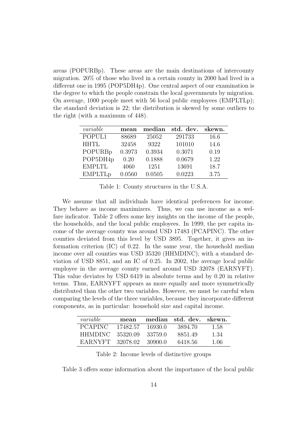areas (POPURBp). These areas are the main destinations of intercounty migration. 20% of those who lived in a certain county in 2000 had lived in a different one in 1995 (POP5DH4p). One central aspect of our examination is the degree to which the people constrain the local governments by migration. On average, 1000 people meet with 56 local public employees (EMPLTLp); the standard deviation is 22; the distribution is skewed by some outliers to the right (with a maximum of 448).

| variable       | mean   | median | std. dev. | skewn. |
|----------------|--------|--------|-----------|--------|
| POPUL1         | 88689  | 25052  | 291733    | 16.6   |
| <b>HHTL</b>    | 32458  | 9322   | 101010    | 14.6   |
| POPURBp        | 0.3973 | 0.3934 | 0.3071    | 0.19   |
| POP5DH4p       | 0.20   | 0.1888 | 0.0679    | 1.22   |
| <b>EMPLTL</b>  | 4060   | 1251   | 13691     | 18.7   |
| <b>EMPLTLp</b> | 0.0560 | 0.0505 | 0.0223    | 3.75   |

Table 1: County structures in the U.S.A.

We assume that all individuals have identical preferences for income. They behave as income maximizers. Thus, we can use income as a welfare indicator. Table 2 offers some key insights on the income of the people, the households, and the local public employees. In 1999, the per capita income of the average county was around USD 17483 (PCAPINC). The other counties deviated from this level by USD 3895. Together, it gives an information criterion (IC) of 0.22. In the same year, the household median income over all counties was USD 35320 (HHMDINC); with a standard deviation of USD 8851, and an IC of 0.25. In 2002, the average local public employee in the average county earned around USD 32078 (EARNYFT). This value deviates by USD 6419 in absolute terms and by 0.20 in relative terms. Thus, EARNYFT appears as more equally and more symmetrically distributed than the other two variables. However, we must be careful when comparing the levels of the three variables, because they incorporate different components, as in particular: household size and capital income.

| variable         | mean     |          | median std. dev. skewn. |       |
|------------------|----------|----------|-------------------------|-------|
| <b>PCAPINC</b>   | 17482.57 | -16930.0 | 3894.70                 | 1.58  |
| HHMDINC.         | 35320.09 | -33759.0 | 8851.49                 | 1.34  |
| EARNYFT 32078.02 |          | -30900-0 | 6418.56                 | -1.06 |

Table 2: Income levels of distinctive groups

Table 3 offers some information about the importance of the local public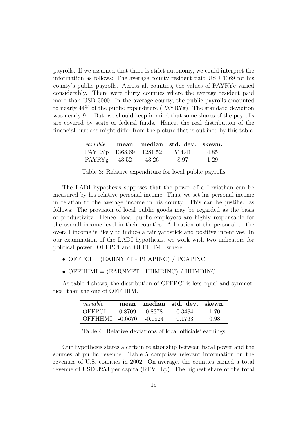payrolls. If we assumed that there is strict autonomy, we could interpret the information as follows: The average county resident paid USD 1369 for his county's public payrolls. Across all counties, the values of PAYRYc varied considerably. There were thirty counties where the average resident paid more than USD 3000. In the average county, the public payrolls amounted to nearly 44% of the public expenditure (PAYRYg). The standard deviation was nearly 9. - But, we should keep in mind that some shares of the payrolls are covered by state or federal funds. Hence, the real distribution of the financial burdens might differ from the picture that is outlined by this table.

|                        |         | <i>variable</i> mean median std. dev. skewn. |      |
|------------------------|---------|----------------------------------------------|------|
| PAYRYp 1368.69 1281.52 |         | 514.41                                       | 4.85 |
| $PAYRYg$ 43.52         | - 43.26 | 8.97                                         | 1.29 |

Table 3: Relative expenditure for local public payrolls

The LADI hypothesis supposes that the power of a Leviathan can be measured by his relative personal income. Thus, we set his personal income in relation to the average income in his county. This can be justified as follows: The provision of local public goods may be regarded as the basis of productivity. Hence, local public employees are highly responsable for the overall income level in their counties. A fixation of the personal to the overall income is likely to induce a fair yardstick and positive incentives. In our examination of the LADI hypothesis, we work with two indicators for political power: OFFPCI and OFFHHMI; where:

- OFFPCI =  $(EARNYFT PCAPINC) / PCAPINC;$
- OFFHHMI  $=$  (EARNYFT HHMDINC) / HHMDINC.

As table 4 shows, the distribution of OFFPCI is less equal and symmetrical than the one of OFFHHM.

| variable        | mean   |         | median std. dev. skewn. |      |
|-----------------|--------|---------|-------------------------|------|
| OFFPCI          | 0.8709 | 0.8378  | 0.3484                  | 1.70 |
| OFFHHMI -0.0670 |        | -0.0824 | 0.1763                  | 0.98 |

Table 4: Relative deviations of local officials' earnings

Our hypothesis states a certain relationship between fiscal power and the sources of public revenue. Table 5 comprises relevant information on the revenues of U.S. counties in 2002. On average, the counties earned a total revenue of USD 3253 per capita (REVTLp). The highest share of the total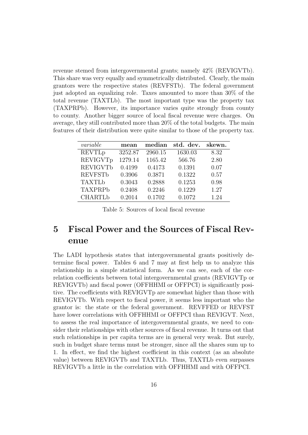revenue stemed from intergovernmental grants; namely 42% (REVIGVTb). This share was very equally and symmetrically distributed. Clearly, the main grantors were the respective states (REVFSTb). The federal government just adopted an equalizing role. Taxes amounted to more than 30% of the total revenue (TAXTLb). The most important type was the property tax (TAXPRPb). However, its importance varies quite strongly from county to county. Another bigger source of local fiscal revenue were charges. On average, they still contributed more than 20% of the total budgets. The main features of their distribution were quite similar to those of the property tax.

| variable        | mean    | median  | std. dev. | skewn. |
|-----------------|---------|---------|-----------|--------|
| <b>REVTLp</b>   | 3252.87 | 2960.15 | 1630.03   | 8.32   |
| <b>REVIGVTp</b> | 1279.14 | 1165.42 | 566.76    | 2.80   |
| <b>REVIGVTb</b> | 0.4199  | 0.4173  | 0.1391    | 0.07   |
| <b>REVFSTb</b>  | 0.3906  | 0.3871  | 0.1322    | 0.57   |
| <b>TAXTLb</b>   | 0.3043  | 0.2888  | 0.1253    | 0.98   |
| <b>TAXPRPb</b>  | 0.2408  | 0.2246  | 0.1229    | 1.27   |
| <b>CHARTLb</b>  | 0.2014  | 0.1702  | 0.1072    | 1.24   |

Table 5: Sources of local fiscal revenue

## 5 Fiscal Power and the Sources of Fiscal Revenue

The LADI hypothesis states that intergovernmental grants positively determine fiscal power. Tables 6 and 7 may at first help us to analyze this relationship in a simple statistical form. As we can see, each of the correlation coefficients between total intergovernmental grants (REVIGVTp or REVIGVTb) and fiscal power (OFFHHMI or OFFPCI) is significantly positive. The coefficients with REVIGVTp are somewhat higher than those with REVIGVTb. With respect to fiscal power, it seems less important who the grantor is: the state or the federal government. REVFFED or REVFST have lower correlations with OFFHHMI or OFFPCI than REVIGVT. Next, to assess the real importance of intergovernmental grants, we need to consider their relationships with other sources of fiscal revenue. It turns out that such relationships in per capita terms are in general very weak. But surely, such in budget share terms must be stronger, since all the shares sum up to 1. In effect, we find the highest coefficient in this context (as an absolute value) between REVIGVTb and TAXTLb. Thus, TAXTLb even surpasses REVIGVTb a little in the correlation with OFFHHMI and with OFFPCI.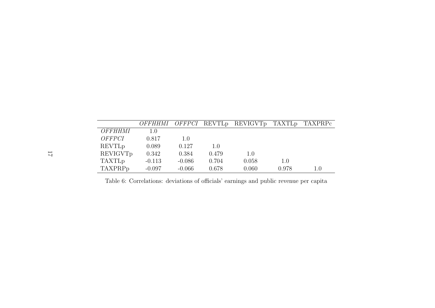|                    | OFFHHMI  |          |       | <i>OFFPCI</i> REVTL <sub>p</sub> REVIGVT <sub>p</sub> | TAXTL <sub>p</sub> | TAXPRPc |
|--------------------|----------|----------|-------|-------------------------------------------------------|--------------------|---------|
| OFFHHMI            | 1.0      |          |       |                                                       |                    |         |
| <i>OFFPCI</i>      | 0.817    | 1.0      |       |                                                       |                    |         |
| REVTL <sub>p</sub> | 0.089    | 0.127    | 1.0   |                                                       |                    |         |
| REVIGVTp           | 0.342    | 0.384    | 0.479 | 1.0                                                   |                    |         |
| <b>TAXTLp</b>      | $-0.113$ | $-0.086$ | 0.704 | 0.058                                                 | 1.0                |         |
| TAXPRPp            | $-0.097$ | $-0.066$ | 0.678 | 0.060                                                 | 0.978              | $1.0\,$ |

Table 6: Correlations: deviations of officials' earnings and public revenue per capita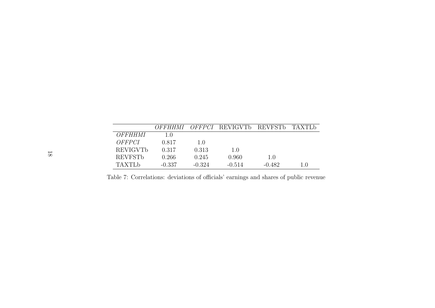|                 | OFFHHMI  |          | <i>OFFPCI</i> REVIGVTb | REVFSTb  | TAXTLb |
|-----------------|----------|----------|------------------------|----------|--------|
| OFFHHMI         | 1(0)     |          |                        |          |        |
| OFFPCI          | 0.817    | 1.0      |                        |          |        |
| <b>REVIGVTb</b> | 0.317    | 0.313    | 1.0                    |          |        |
| <b>REVESTb</b>  | 0.266    | 0.245    | 0.960                  | 1.0      |        |
| TAXTLA          | $-0.337$ | $-0.324$ | $-0.514$               | $-0.482$ | 1.0    |

Table 7: Correlations: deviations of officials' earnings and shares of public revenue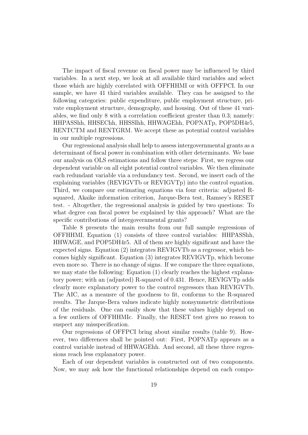The impact of fiscal revenue on fiscal power may be influenced by third variables. In a next step, we look at all available third variables and select those which are highly correlated with OFFHHMI or with OFFPCI. In our sample, we have 41 third variables available. They can be assigned to the following categories: public expenditure, public employment structure, private employment structure, demography, and housing. Out of these 41 variables, we find only 8 with a correlation coefficient greater than 0.3; namely: HHPASShh, HHSEChh, HHSSIhh, HHWAGEhh, POPNATp, POP5DH4r5, RENTCTM and RENTGRM. We accept these as potential control variables in our multiple regressions.

Our regressional analysis shall help to assess intergovernmental grants as a determinant of fiscal power in combination with other determinants. We base our analysis on OLS estimations and follow three steps: First, we regress our dependent variable on all eight potential control variables. We then eliminate each redundant variable via a redundancy test. Second, we insert each of the explaining variables (REVIGVTb or REVIGVTp) into the control equation. Third, we compare our estimating equations via four criteria: adjusted Rsquared, Akaike information criterion, Jarque-Bera test, Ramsey's RESET test. - Altogether, the regressional analysis is guided by two questions: To what degree can fiscal power be explained by this approach? What are the specific contributions of intergovernmental grants?

Table 8 presents the main results from our full sample regressions of OFFHHMI. Equation (1) consists of three control variables: HHPASShh, HHWAGE, and POP5DH4r5. All of them are highly significant and have the expected signs. Equation (2) integrates REVIGVTb as a regressor, which becomes highly significant. Equation (3) integrates REVIGVTp, which become even more so. There is no change of signs. If we compare the three equations, we may state the following: Equation (1) clearly reaches the highest explanatory power; with an (adjusted) R-squared of 0.431. Hence, REVIGVTp adds clearly more explanatory power to the control regressors than REVIGVTb. The AIC, as a meausre of the goodness to fit, conforms to the R-squared results. The Jarque-Bera values indicate highly nonsymmetric distributions of the residuals. One can easily show that these values highly depend on a few outliers of OFFHHMIc. Finally, the RESET test gives no reason to suspect any misspecification.

Our regressions of OFFPCI bring about similar results (table 9). However, two differences shall be pointed out: First, POPNATp appears as a control variable instead of HHWAGEhh. And second, all these three regressions reach less explanatory power.

Each of our dependent variables is constructed out of two components. Now, we may ask how the functional relationships depend on each compo-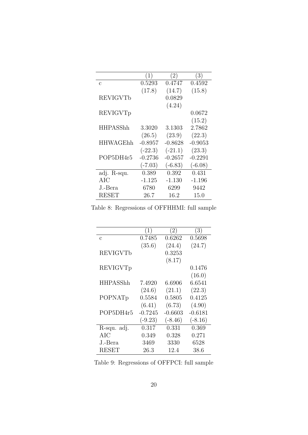|                 | $\left(1\right)$ | (2)       | (3)       |
|-----------------|------------------|-----------|-----------|
| $\mathcal{C}$   | 0.5293           | 0.4747    | 0.4592    |
|                 | (17.8)           | (14.7)    | (15.8)    |
| REVIGVTb        |                  | 0.0829    |           |
|                 |                  | (4.24)    |           |
| REVIGVTp        |                  |           | 0.0672    |
|                 |                  |           | (15.2)    |
| <b>HHPASShh</b> | 3.3020           | 3.1303    | 2.7862    |
|                 | (26.5)           | (23.9)    | (22.3)    |
| <b>HHWAGEhh</b> | $-0.8957$        | $-0.8628$ | $-0.9053$ |
|                 | $(-22.3)$        | $(-21.1)$ | (23.3)    |
| POP5DH4r5       | $-0.2736$        | $-0.2657$ | $-0.2291$ |
|                 | $(-7.03)$        | $(-6.83)$ | $(-6.08)$ |
| adj. R-squ.     | 0.389            | 0.392     | 0.431     |
| AIC             | $-1.125$         | $-1.130$  | $-1.196$  |
| J.-Bera         | 6780             | 6299      | 9442      |
| <b>RESET</b>    | 26.7             | 16.2      | 15.0      |

Table 8: Regressions of OFFHHMI: full sample

| (1)       | (2)       | (3)       |
|-----------|-----------|-----------|
| 0.7485    | 0.6262    | 0.5698    |
| (35.6)    | (24.4)    | (24.7)    |
|           | 0.3253    |           |
|           | (8.17)    |           |
|           |           | 0.1476    |
|           |           | (16.0)    |
| 7.4920    | 6.6906    | 6.6541    |
| (24.6)    | (21.1)    | (22.3)    |
| 0.5584    | 0.5805    | 0.4125    |
| (6.41)    | (6.73)    | (4.90)    |
| $-0.7245$ | $-0.6603$ | $-0.6181$ |
| $(-9.23)$ | $(-8.46)$ | $(-8.16)$ |
| 0.317     | 0.331     | 0.369     |
| 0.349     | 0.328     | 0.271     |
| 3469      | 3330      | 6528      |
| 26.3      | 12.4      | 38.6      |
|           |           |           |

Table 9: Regressions of OFFPCI: full sample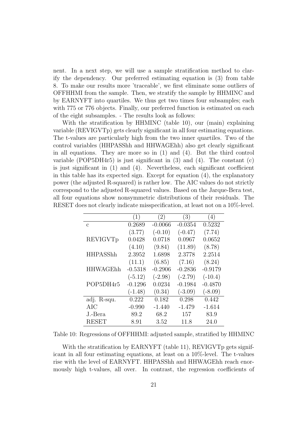nent. In a next step, we will use a sample stratification method to clarify the dependency. Our preferred estimating equation is (3) from table 8. To make our results more 'traceable', we first eliminate some outliers of OFFHHMI from the sample. Then, we stratify the sample by HHMINC and by EARNYFT into quartiles. We thus get two times four subsamples; each with 775 or 776 objects. Finally, our preferred function is estimated on each of the eight subsamples. - The results look as follows:

With the stratification by HHMINC (table 10), our (main) explaining variable (REVIGVTp) gets clearly significant in all four estimating equations. The t-values are particularly high from the two inner quartiles. Two of the control variables (HHPASShh and HHWAGEhh) also get clearly significant in all equations. They are more so in (1) and (4). But the third control variable (POP5DH4r5) is just significant in  $(3)$  and  $(4)$ . The constant  $(c)$ is just significant in (1) and (4). Nevertheless, each significant coefficient in this table has its expected sign. Except for equation (4), the explanatory power (the adjusted R-squared) is rather low. The AIC values do not strictly correspond to the adjusted R-squared values. Based on the Jarque-Bera test, all four equations show nonsymmetric distributions of their residuals. The RESET does not clearly indicate misspecification, at least not on a 10%-level.

|                 | (1)       | (2)       | (3)       | (4)       |
|-----------------|-----------|-----------|-----------|-----------|
| $\mathbf{c}$    | 0.2689    | $-0.0066$ | $-0.0354$ | 0.5232    |
|                 | (3.77)    | $(-0.10)$ | $(-0.47)$ | (7.74)    |
| REVIGVTp        | 0.0428    | 0.0718    | 0.0967    | 0.0652    |
|                 | (4.10)    | (9.84)    | (11.89)   | (8.78)    |
| <b>HHPASShh</b> | 2.3952    | 1.6898    | 2.3778    | 2.2514    |
|                 | (11.1)    | (6.85)    | (7.16)    | (8.24)    |
| <b>HHWAGEhh</b> | $-0.5318$ | $-0.2906$ | $-0.2836$ | $-0.9179$ |
|                 | $(-5.12)$ | $(-2.98)$ | $(-2.79)$ | $(-10.4)$ |
| POP5DH4r5       | $-0.1296$ | 0.0234    | $-0.1984$ | $-0.4870$ |
|                 | $(-1.48)$ | (0.34)    | $(-3.09)$ | $(-8.09)$ |
| adj. R-squ.     | 0.222     | 0.182     | 0.298     | 0.442     |
| AIC             | $-0.990$  | $-1.440$  | $-1.479$  | $-1.614$  |
| J.-Bera         | 89.2      | 68.2      | 157       | 83.9      |
| <b>RESET</b>    | 8.91      | 3.52      | 11.8      | 24.0      |

Table 10: Regressions of OFFHHMI: adjusted sample, stratified by HHMINC

With the stratification by EARNYFT (table 11), REVIGVTp gets significant in all four estimating equations, at least on a 10%-level. The t-values rise with the level of EARNYFT. HHPASShh and HHWAGEhh reach enormously high t-values, all over. In contrast, the regression coefficients of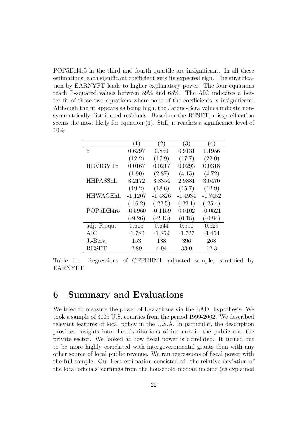POP5DH4r5 in the third and fourth quartile are insignificant. In all these estimations, each significant coefficient gets its expected sign. The stratification by EARNYFT leads to higher explanatory power. The four equations reach R-squared values between 59% and 65%. The AIC indicates a better fit of those two equations where none of the coefficients is insignificant. Although the fit appears as being high, the Jarque-Bera values indicate nonsymmetrically distributed residuals. Based on the RESET, misspecification seems the most likely for equation (1). Still, it reaches a significance level of 10%.

|                 | (1)       | (2)       | (3)       | (4)       |
|-----------------|-----------|-----------|-----------|-----------|
| $\mathcal{C}$   | 0.6297    | 0.850     | 0.9131    | 1.1956    |
|                 | (12.2)    | (17.9)    | (17.7)    | (22.0)    |
| REVIGVTp        | 0.0167    | 0.0217    | 0.0293    | 0.0318    |
|                 | (1.90)    | (2.87)    | (4.15)    | (4.72)    |
| <b>HHPASShh</b> | 3.2172    | 3.8354    | 2.9881    | 3.0470    |
|                 | (19.2)    | (18.6)    | (15.7)    | (12.9)    |
| <b>HHWAGEhh</b> | $-1.1207$ | $-1.4826$ | $-1.4934$ | $-1.7452$ |
|                 | $(-16.2)$ | $(-22.5)$ | $(-22.1)$ | $(-25.4)$ |
| POP5DH4r5       | $-0.5960$ | $-0.1159$ | 0.0102    | $-0.0521$ |
|                 | $(-9.26)$ | $(-2.13)$ | (0.18)    | $(-0.84)$ |
| adj. R-squ.     | 0.615     | 0.644     | 0.591     | 0.629     |
| AIC             | $-1.780$  | $-1.869$  | $-1.727$  | $-1.454$  |
| J.-Bera         | 153       | 138       | 396       | 268       |
| <b>RESET</b>    | 2.89      | 4.94      | 33.0      | 12.3      |

Table 11: Regressions of OFFHHMI: adjusted sample, stratified by EARNYFT

### 6 Summary and Evaluations

We tried to measure the power of Leviathans via the LADI hypothesis. We took a sample of 3105 U.S. counties from the period 1999-2002. We described relevant features of local policy in the U.S.A. In particular, the description provided insights into the distributions of incomes in the public and the private sector. We looked at how fiscal power is correlated. It turned out to be more highly correlated with intergovernmental grants than with any other source of local public revenue. We ran regressions of fiscal power with the full sample. Our best estimation consisted of: the relative deviation of the local officials' earnings from the household median income (as explained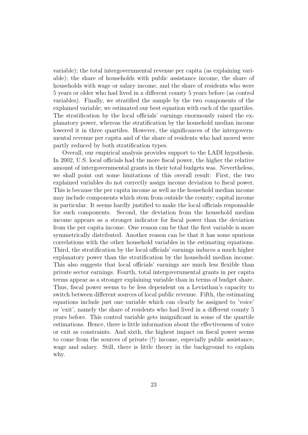variable); the total intergovernmental revenue per capita (as explaining variable); the share of households with public assistance income, the share of households with wage or salary income, and the share of residents who were 5 years or older who had lived in a different county 5 years before (as control variables). Finally, we stratified the sample by the two components of the explained variable; we estimated our best equation with each of the quartiles. The stratification by the local officials' earnings enormously raised the explanatory power, whereas the stratification by the household median income lowered it in three quartiles. However, the significances of the intergovernmental revenue per capita and of the share of residents who had moved were partly reduced by both stratification types.

Overall, our empirical analysis provides support to the LADI hypothesis. In 2002, U.S. local officials had the more fiscal power, the higher the relative amount of intergovernmental grants in their total budgets was. Nevertheless, we shall point out some limitations of this overall result: First, the two explained variables do not correctly assign income deviation to fiscal power. This is because the per capita income as well as the household median income may include components which stem from outside the county; capital income in particular. It seems hardly justified to make the local officials responsable for such components. Second, the deviation from the household median income appears as a stronger indicator for fiscal power than the deviation from the per capita income. One reason can be that the first variable is more symmetrically distributed. Another reason can be that it has some spurious correlations with the other household variables in the estimating equations. Third, the stratification by the local officials' earnings induces a much higher explanatory power than the stratification by the household median income. This also suggests that local officials' earnings are much less flexible than private sector earnings. Fourth, total intergovernmental grants in per capita terms appear as a stronger explaining variable than in terms of budget share. Thus, fiscal power seems to be less dependent on a Leviathan's capacity to switch between different sources of local public revenue. Fifth, the estimating equations include just one variable which can clearly be assigned to 'voice' or 'exit', namely the share of residents who had lived in a different county 5 years before. This control variable gets insignificant in some of the quartile estimations. Hence, there is little information about the effectiveness of voice or exit as constraints. And sixth, the highest impact on fiscal power seems to come from the sources of private (!) income, especially public assistance, wage and salary. Still, there is little theory in the background to explain why.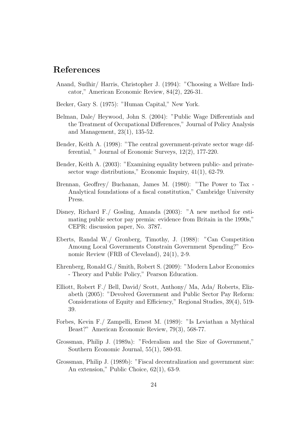### References

- Anand, Sudhir/ Harris, Christopher J. (1994): "Choosing a Welfare Indicator," American Economic Review, 84(2), 226-31.
- Becker, Gary S. (1975): "Human Capital," New York.
- Belman, Dale/ Heywood, John S. (2004): "Public Wage Differentials and the Treatment of Occupational Differences," Journal of Policy Analysis and Management, 23(1), 135-52.
- Bender, Keith A. (1998): "The central government-private sector wage differential, " Journal of Economic Surveys, 12(2), 177-220.
- Bender, Keith A. (2003): "Examining equality between public- and privatesector wage distributions," Economic Inquiry, 41(1), 62-79.
- Brennan, Geoffrey/ Buchanan, James M. (1980): "The Power to Tax Analytical foundations of a fiscal constitution," Cambridge University Press.
- Disney, Richard F./ Gosling, Amanda (2003): "A new method for estimating public sector pay premia: evidence from Britain in the 1990s," CEPR: discussion paper, No. 3787.
- Eberts, Randal W./ Gronberg, Timothy, J. (1988): "Can Competition Amoung Local Governments Constrain Government Spending?" Economic Review (FRB of Cleveland), 24(1), 2-9.
- Ehrenberg, Ronald G./ Smith, Robert S. (2009): "Modern Labor Economics - Theory and Public Policy," Pearson Education.
- Elliott, Robert F./ Bell, David/ Scott, Anthony/ Ma, Ada/ Roberts, Elizabeth (2005): "Devolved Government and Public Sector Pay Reform: Considerations of Equity and Efficiency," Regional Studies, 39(4), 519- 39.
- Forbes, Kevin F./ Zampelli, Ernest M. (1989): "Is Leviathan a Mythical Beast?" American Economic Review, 79(3), 568-77.
- Grossman, Philip J. (1989a): "Federalism and the Size of Government," Southern Economic Journal, 55(1), 580-93.
- Grossman, Philip J. (1989b): "Fiscal decentralization and government size: An extension," Public Choice, 62(1), 63-9.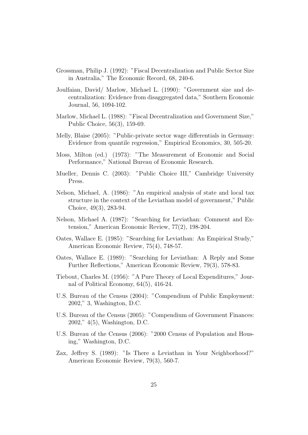- Grossman, Philip J. (1992): "Fiscal Decentralization and Public Sector Size in Australia," The Economic Record, 68, 240-6.
- Joulfaian, David/ Marlow, Michael L. (1990): "Government size and decentralization: Evidence from disaggregated data," Southern Economic Journal, 56, 1094-102.
- Marlow, Michael L. (1988): "Fiscal Decentralization and Government Size," Public Choice, 56(3), 159-69.
- Melly, Blaise (2005): "Public-private sector wage differentials in Germany: Evidence from quantile regression," Empirical Economics, 30, 505-20.
- Moss, Milton (ed.) (1973): "The Measurement of Economic and Social Performance," National Bureau of Economic Research.
- Mueller, Dennis C. (2003): "Public Choice III," Cambridge University Press.
- Nelson, Michael, A. (1986): "An empirical analysis of state and local tax structure in the context of the Leviathan model of government," Public Choice, 49(3), 283-94.
- Nelson, Michael A. (1987): "Searching for Leviathan: Comment and Extension," American Economic Review, 77(2), 198-204.
- Oates, Wallace E. (1985): "Searching for Leviathan: An Empirical Study," American Economic Review, 75(4), 748-57.
- Oates, Wallace E. (1989): "Searching for Leviathan: A Reply and Some Further Reflections," American Economic Review, 79(3), 578-83.
- Tiebout, Charles M. (1956): "A Pure Theory of Local Expenditures," Journal of Political Economy, 64(5), 416-24.
- U.S. Bureau of the Census (2004): "Compendium of Public Employment: 2002," 3, Washington, D.C.
- U.S. Bureau of the Census (2005): "Compendium of Government Finances: 2002," 4(5), Washington, D.C.
- U.S. Bureau of the Census (2006): "2000 Census of Population and Housing," Washington, D.C.
- Zax, Jeffrey S. (1989): "Is There a Leviathan in Your Neighborhood?" American Economic Review, 79(3), 560-7.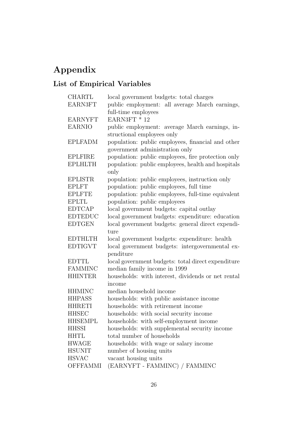# Appendix

# List of Empirical Variables

| <b>CHARTL</b>   | local government budgets: total charges            |
|-----------------|----------------------------------------------------|
| <b>EARN3FT</b>  | public employment: all average March earnings,     |
|                 | full-time employees                                |
| <b>EARNYFT</b>  | EARN3FT * 12                                       |
| <b>EARNIO</b>   | public employment: average March earnings, in-     |
|                 | structional employees only                         |
| <b>EPLFADM</b>  | population: public employees, financial and other  |
|                 | government administration only                     |
| <b>EPLFIRE</b>  | population: public employees, fire protection only |
| <b>EPLHLTH</b>  | population: public employees, health and hospitals |
|                 | only                                               |
| <b>EPLISTR</b>  | population: public employees, instruction only     |
| <b>EPLFT</b>    | population: public employees, full time            |
| <b>EPLFTE</b>   | population: public employees, full-time equivalent |
| <b>EPLTL</b>    | population: public employees                       |
| <b>EDTCAP</b>   | local government budgets: capital outlay           |
| <b>EDTEDUC</b>  | local government budgets: expenditure: education   |
| <b>EDTGEN</b>   | local government budgets: general direct expendi-  |
|                 | ture                                               |
| <b>EDTHLTH</b>  | local government budgets: expenditure: health      |
| <b>EDTIGVT</b>  | local government budgets: intergovernmental ex-    |
|                 | penditure                                          |
| <b>EDTTL</b>    | local government budgets: total direct expenditure |
| <b>FAMMINC</b>  | median family income in 1999                       |
| <b>HHINTER</b>  | households: with interest, dividends or net rental |
|                 | income                                             |
| <b>HHMINC</b>   | median household income                            |
| <b>HHPASS</b>   | households: with public assistance income          |
| <b>HHRETI</b>   | households: with retirement income                 |
| <b>HHSEC</b>    | households: with social security income            |
| <b>HHSEMPL</b>  | households: with self-employment income            |
| HHSSI           | households: with supplemental security income      |
| <b>HHTL</b>     | total number of households                         |
| <b>HWAGE</b>    | households: with wage or salary income             |
| <b>HSUNIT</b>   | number of housing units                            |
| <b>HSVAC</b>    | vacant housing units                               |
| <b>OFFFAMMI</b> | (EARNYFT - FAMMINC) / FAMMINC                      |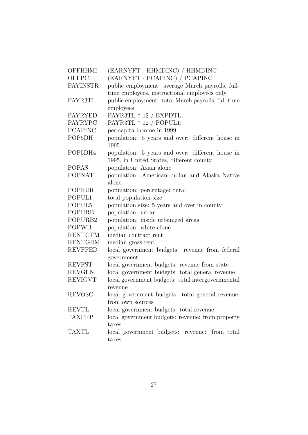| OFFHHMI        | (EARNYFT - HHMDINC) / HHMDINC                            |
|----------------|----------------------------------------------------------|
| OFFPCI         | (EARNYFT - PCAPINC) / PCAPINC                            |
| PAYINSTR       | public employment: average March payrolls, full-         |
|                | time employees, instructional employees only             |
| PAYR3TL        | public employment: total March payrolls, full-time       |
|                | employees                                                |
| PAYRYED        | PAYR3TL * 12 / EXPDTL;                                   |
| PAYRYPC        | PAYR3TL $*$ 12 / POPUL1;                                 |
| <b>PCAPINC</b> | per capita income in 1999                                |
| POP5DH         | population: 5 years and over: different house in<br>1995 |
| POP5DH4        | population: 5 years and over: different house in         |
|                | 1995, in United States, different county                 |
| POPAS          | population: Asian alone                                  |
| <b>POPNAT</b>  | population: American Indian and Alaska Native            |
|                | alone                                                    |
| POPRUR         | population: percentage: rural                            |
| POPUL1         | total population size                                    |
| POPUL5         | population size: 5 years and over in county              |
| <b>POPURB</b>  | population: urban                                        |
| POPURB2        | population: inside urbanized areas                       |
| POPWH          | population: white alone                                  |
| <b>RENTCTM</b> | median contract rent                                     |
| <b>RENTGRM</b> | median gross rent                                        |
| <b>REVFFED</b> | local government budgets: revenue from federal           |
|                | government                                               |
| <b>REVFST</b>  | local government budgets: revenue from state             |
| <b>REVGEN</b>  | local government budgets: total general revenue          |
| <b>REVIGVT</b> | local government budgets: total intergovernmental        |
|                | revenue                                                  |
| REVOSC         | local government budgets: total general revenue:         |
|                | from own sources                                         |
| REVTL          | local government budgets: total revenue                  |
| TAXPRP         | local government budgets: revenue: from property         |
|                | taxes                                                    |
| TAXTL          | local government budgets: revenue:<br>from total         |
|                | taxes                                                    |